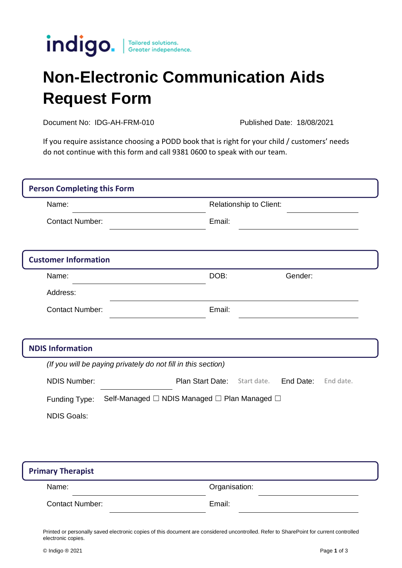

## **Non-Electronic Communication Aids Request Form**

Document No: IDG-AH-FRM-010 Published Date: 18/08/2021

If you require assistance choosing a PODD book that is right for your child / customers' needs do not continue with this form and call 9381 0600 to speak with our team.

| <b>Person Completing this Form</b>  |                                                               |                         |             |           |           |
|-------------------------------------|---------------------------------------------------------------|-------------------------|-------------|-----------|-----------|
| Name:                               |                                                               | Relationship to Client: |             |           |           |
| <b>Contact Number:</b>              |                                                               | Email:                  |             |           |           |
| <b>Customer Information</b>         |                                                               |                         |             |           |           |
| Name:                               |                                                               | DOB:                    |             | Gender:   |           |
| Address:                            |                                                               |                         |             |           |           |
| <b>Contact Number:</b>              |                                                               | Email:                  |             |           |           |
| <b>NDIS Information</b>             |                                                               |                         |             |           |           |
|                                     | (If you will be paying privately do not fill in this section) |                         |             |           |           |
| <b>NDIS Number:</b>                 | Plan Start Date:                                              |                         | Start date. | End Date: | End date. |
| Funding Type:<br><b>NDIS Goals:</b> | Self-Managed □ NDIS Managed □ Plan Managed □                  |                         |             |           |           |

| <b>Primary Therapist</b> |               |  |  |  |
|--------------------------|---------------|--|--|--|
| Name:                    | Organisation: |  |  |  |
| <b>Contact Number:</b>   | Email:        |  |  |  |

Printed or personally saved electronic copies of this document are considered uncontrolled. Refer to SharePoint for current controlled electronic copies.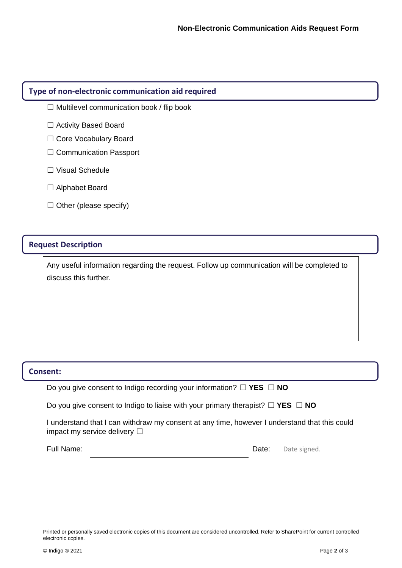## **Type of non-electronic communication aid required**

- $\Box$  Multilevel communication book / flip book
- □ Activity Based Board
- □ Core Vocabulary Board
- □ Communication Passport
- ☐ Visual Schedule
- ☐ Alphabet Board
- $\Box$  Other (please specify)

## **Request Description**

Any useful information regarding the request. Follow up communication will be completed to discuss this further.

## **Consent:**

Do you give consent to Indigo recording your information? ☐ **YES** ☐ **NO**

Do you give consent to Indigo to liaise with your primary therapist? ☐ **YES** ☐ **NO**

I understand that I can withdraw my consent at any time, however I understand that this could impact my service delivery □

Full Name:  $Date:$  Date: Date signed.